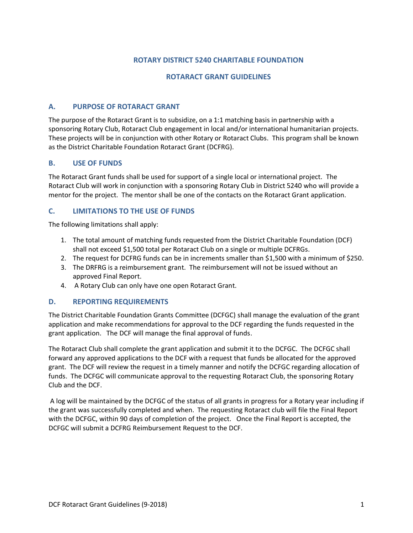# **ROTARY DISTRICT 5240 CHARITABLE FOUNDATION**

#### **ROTARACT GRANT GUIDELINES**

### **A. PURPOSE OF ROTARACT GRANT**

The purpose of the Rotaract Grant is to subsidize, on a 1:1 matching basis in partnership with a sponsoring Rotary Club, Rotaract Club engagement in local and/or international humanitarian projects. These projects will be in conjunction with other Rotary or Rotaract Clubs. This program shall be known as the District Charitable Foundation Rotaract Grant (DCFRG).

#### **B. USE OF FUNDS**

The Rotaract Grant funds shall be used for support of a single local or international project. The Rotaract Club will work in conjunction with a sponsoring Rotary Club in District 5240 who will provide a mentor for the project. The mentor shall be one of the contacts on the Rotaract Grant application.

## **C. LIMITATIONS TO THE USE OF FUNDS**

The following limitations shall apply:

- 1. The total amount of matching funds requested from the District Charitable Foundation (DCF) shall not exceed \$1,500 total per Rotaract Club on a single or multiple DCFRGs.
- 2. The request for DCFRG funds can be in increments smaller than \$1,500 with a minimum of \$250.
- 3. The DRFRG is a reimbursement grant. The reimbursement will not be issued without an approved Final Report.
- 4. A Rotary Club can only have one open Rotaract Grant.

#### **D. REPORTING REQUIREMENTS**

The District Charitable Foundation Grants Committee (DCFGC) shall manage the evaluation of the grant application and make recommendations for approval to the DCF regarding the funds requested in the grant application. The DCF will manage the final approval of funds.

The Rotaract Club shall complete the grant application and submit it to the DCFGC. The DCFGC shall forward any approved applications to the DCF with a request that funds be allocated for the approved grant. The DCF will review the request in a timely manner and notify the DCFGC regarding allocation of funds. The DCFGC will communicate approval to the requesting Rotaract Club, the sponsoring Rotary Club and the DCF.

 A log will be maintained by the DCFGC of the status of all grants in progress for a Rotary year including if the grant was successfully completed and when. The requesting Rotaract club will file the Final Report with the DCFGC, within 90 days of completion of the project. Once the Final Report is accepted, the DCFGC will submit a DCFRG Reimbursement Request to the DCF.